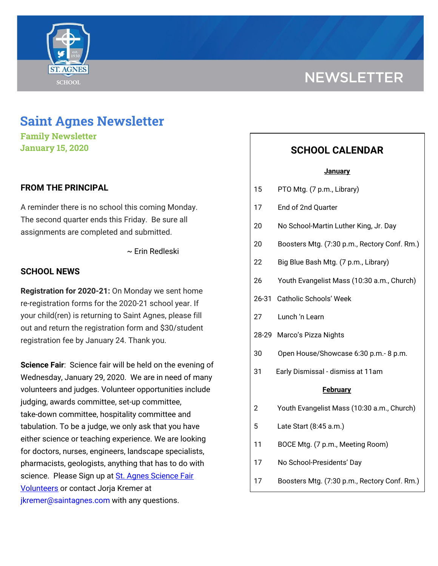

# **NEWSLETTER**

## **Saint Agnes Newsletter**

**Family Newsletter January 15, 2020**

### **FROM THE PRINCIPAL**

A reminder there is no school this coming Monday. The second quarter ends this Friday. Be sure all assignments are completed and submitted.

~ Erin Redleski

#### **SCHOOL NEWS**

**Registration for 2020-21:** On Monday we sent home re-registration forms for the 2020-21 school year. If your child(ren) is returning to Saint Agnes, please fill out and return the registration form and \$30/student registration fee by January 24. Thank you.

**Science Fair**: Science fair will be held on the evening of Wednesday, January 29, 2020. We are in need of many volunteers and judges. Volunteer opportunities include judging, awards committee, set-up committee, take-down committee, hospitality committee and tabulation. To be a judge, we only ask that you have either science or teaching experience. We are looking for doctors, nurses, engineers, landscape specialists, pharmacists, geologists, anything that has to do with science. Please Sign up at St. Agnes [Science](https://signup.com/go/CEXWWEd) Fair [Volunteers](https://signup.com/go/CEXWWEd) or contact Jorja Kremer at jkremer@saintagnes.com with any questions.

## **SCHOOL CALENDAR**

#### **January**

- 15 PTO Mtg. (7 p.m., Library)
- 17 End of 2nd Quarter
- 20 No School-Martin Luther King, Jr. Day
- 20 Boosters Mtg. (7:30 p.m., Rectory Conf. Rm.)
- 22 Big Blue Bash Mtg. (7 p.m., Library)
- 26 Youth Evangelist Mass (10:30 a.m., Church)
- 26-31 Catholic Schools' Week
- 27 Lunch 'n Learn
- 28-29 Marco's Pizza Nights
- 30 Open House/Showcase 6:30 p.m.- 8 p.m.
- 31 Early Dismissal dismiss at 11am

#### **February**

- 2 Youth Evangelist Mass (10:30 a.m., Church)
- 5 Late Start (8:45 a.m.)
- 11 BOCE Mtg. (7 p.m., Meeting Room)
- 17 No School-Presidents' Day
- 17 Boosters Mtg. (7:30 p.m., Rectory Conf. Rm.)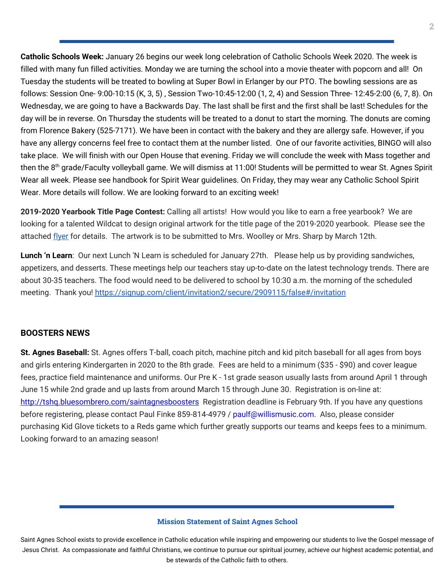**Catholic Schools Week:** January 26 begins our week long celebration of Catholic Schools Week 2020. The week is filled with many fun filled activities. Monday we are turning the school into a movie theater with popcorn and all! On Tuesday the students will be treated to bowling at Super Bowl in Erlanger by our PTO. The bowling sessions are as follows: Session One- 9:00-10:15 (K, 3, 5) , Session Two-10:45-12:00 (1, 2, 4) and Session Three- 12:45-2:00 (6, 7, 8). On Wednesday, we are going to have a Backwards Day. The last shall be first and the first shall be last! Schedules for the day will be in reverse. On Thursday the students will be treated to a donut to start the morning. The donuts are coming from Florence Bakery (525-7171). We have been in contact with the bakery and they are allergy safe. However, if you have any allergy concerns feel free to contact them at the number listed. One of our favorite activities, BINGO will also take place. We will finish with our Open House that evening. Friday we will conclude the week with Mass together and then the 8<sup>th</sup> grade/Faculty volleyball game. We will dismiss at 11:00! Students will be permitted to wear St. Agnes Spirit Wear all week. Please see handbook for Spirit Wear guidelines. On Friday, they may wear any Catholic School Spirit Wear. More details will follow. We are looking forward to an exciting week!

**2019-2020 Yearbook Title Page Contest:** Calling all artists! How would you like to earn a free yearbook? We are looking for a talented Wildcat to design original artwork for the title page of the 2019-2020 yearbook. Please see the attached [flyer](https://school.saintagnes.com/wp-content/uploads/2020/01/Yearbook-Contest-19-20-1.pdf) for details. The artwork is to be submitted to Mrs. Woolley or Mrs. Sharp by March 12th.

**Lunch 'n Learn**: Our next Lunch 'N Learn is scheduled for January 27th. Please help us by providing sandwiches, appetizers, and desserts. These meetings help our teachers stay up-to-date on the latest technology trends. There are about 30-35 teachers. The food would need to be delivered to school by 10:30 a.m. the morning of the scheduled meeting. Thank you! <https://signup.com/client/invitation2/secure/2909115/false#/invitation>

## **BOOSTERS NEWS**

**St. Agnes Baseball:** St. Agnes offers T-ball, coach pitch, machine pitch and kid pitch baseball for all ages from boys and girls entering Kindergarten in 2020 to the 8th grade. Fees are held to a minimum (\$35 - \$90) and cover league fees, practice field maintenance and uniforms. Our Pre K - 1st grade season usually lasts from around April 1 through June 15 while 2nd grade and up lasts from around March 15 through June 30. Registration is on-line at: <http://tshq.bluesombrero.com/saintagnesboosters> Registration deadline is February 9th. If you have any questions before registering, please contact Paul Finke 859-814-4979 / paulf@willismusic.com. Also, please consider purchasing Kid Glove tickets to a Reds game which further greatly supports our teams and keeps fees to a minimum. Looking forward to an amazing season!

#### **Mission Statement of Saint Agnes School**

Saint Agnes School exists to provide excellence in Catholic education while inspiring and empowering our students to live the Gospel message of Jesus Christ. As compassionate and faithful Christians, we continue to pursue our spiritual journey, achieve our highest academic potential, and be stewards of the Catholic faith to others.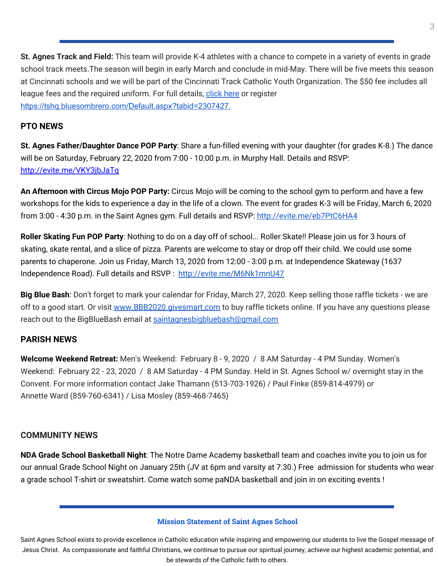**St. Agnes Track and Field:** This team will provide K-4 athletes with a chance to compete in a variety of events in grade school track meets.The season will begin in early March and conclude in mid-May. There will be five meets this season at Cincinnati schools and we will be part of the Cincinnati Track Catholic Youth Organization. The \$50 fee includes all league fees and the required uniform. For full details, [click](https://school.saintagnes.com/wp-content/uploads/2020/01/2020-track-and-field-saint-agnes.pdf) here or register <https://tshq.bluesombrero.com/Default.aspx?tabid=2307427>[.](https://school.saintagnes.com/wp-content/uploads/2020/01/2020-st-agnes-track-and-field.pdf)

#### **PTO NEWS**

**St. Agnes Father/Daughter Dance POP Party**: Share a fun-filled evening with your daughter (for grades K-8.) The dance will be on Saturday, February 22, 2020 from 7:00 - 10:00 p.m. in Murphy Hall. Details and RSVP: <http://evite.me/VKY3jbJaTq>

**An Afternoon with Circus Mojo POP Party:** Circus Mojo will be coming to the school gym to perform and have a few workshops for the kids to experience a day in the life of a clown. The event for grades K-3 will be Friday, March 6, 2020 from 3[:](http://evite.me/eb7PtC6HA4)00 - 4:30 p.m. in the Saint Agnes gym. Full details and RSVP: <http://evite.me/eb7PtC6HA4>

**Roller Skating Fun POP Party**: Nothing to do on a day off of school... Roller Skate!! Please join us for 3 hours of skating, skate rental, and a slice of pizza. Parents are welcome to stay or drop off their child. We could use some parents to chaperone. Join us Friday, March 13, 2020 from 12:00 - 3:00 p.m. at Independence Skateway (1637 Independence Road). Full details and RSVP : <http://evite.me/M6Nk1mnU47>

**Big Blue Bash**: Don't forget to mark your calendar for Friday, March 27, 2020. Keep selling those raffle tickets - we are off to a good start. Or visit [www.BBB2020.givesmart.com](http://www.bbb2020.givesmart.com/) to buy raffle tickets online. If you have any questions please reach out to the BigBlueBash email at [saintagnesbigbluebash@gmail.com](mailto:saintagnesbigbluebash@gmail.com)

## **PARISH NEWS**

**Welcome Weekend Retreat:** Men's Weekend: February 8 - 9, 2020 / 8 AM Saturday - 4 PM Sunday. Women's Weekend: February 22 - 23, 2020 / 8 AM Saturday - 4 PM Sunday. Held in St. Agnes School w/ overnight stay in the Convent. For more information contact Jake Thamann (513-703-1926) / Paul Finke (859-814-4979) or Annette Ward (859-760-6341) / Lisa Mosley (859-468-7465)

## **COMMUNITY NEWS**

**NDA Grade School Basketball Night**: The Notre Dame Academy basketball team and coaches invite you to join us for our annual Grade School Night on January 25th (JV at 6pm and varsity at 7:30.) Free admission for students who wear a grade school T-shirt or sweatshirt. Come watch some paNDA basketball and join in on exciting events !

#### **Mission Statement of Saint Agnes School**

Saint Agnes School exists to provide excellence in Catholic education while inspiring and empowering our students to live the Gospel message of Jesus Christ. As compassionate and faithful Christians, we continue to pursue our spiritual journey, achieve our highest academic potential, and be stewards of the Catholic faith to others.